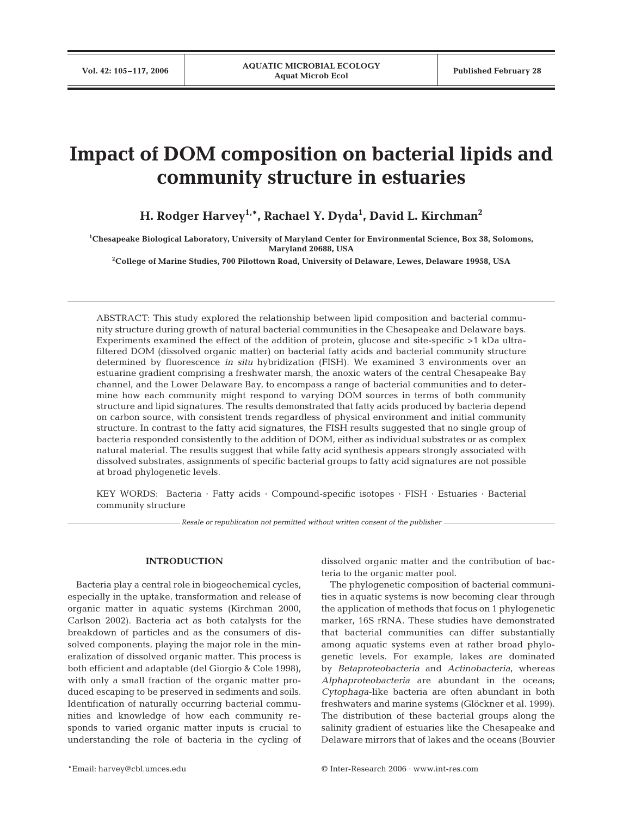# **Impact of DOM composition on bacterial lipids and community structure in estuaries**

**H. Rodger Harvey1,\*, Rachael Y. Dyda1 , David L. Kirchman2**

**1 Chesapeake Biological Laboratory, University of Maryland Center for Environmental Science, Box 38, Solomons, Maryland 20688, USA**

**2 College of Marine Studies, 700 Pilottown Road, University of Delaware, Lewes, Delaware 19958, USA**

ABSTRACT: This study explored the relationship between lipid composition and bacterial community structure during growth of natural bacterial communities in the Chesapeake and Delaware bays. Experiments examined the effect of the addition of protein, glucose and site-specific >1 kDa ultrafiltered DOM (dissolved organic matter) on bacterial fatty acids and bacterial community structure determined by fluorescence *in situ* hybridization (FISH). We examined 3 environments over an estuarine gradient comprising a freshwater marsh, the anoxic waters of the central Chesapeake Bay channel, and the Lower Delaware Bay, to encompass a range of bacterial communities and to determine how each community might respond to varying DOM sources in terms of both community structure and lipid signatures. The results demonstrated that fatty acids produced by bacteria depend on carbon source, with consistent trends regardless of physical environment and initial community structure. In contrast to the fatty acid signatures, the FISH results suggested that no single group of bacteria responded consistently to the addition of DOM, either as individual substrates or as complex natural material. The results suggest that while fatty acid synthesis appears strongly associated with dissolved substrates, assignments of specific bacterial groups to fatty acid signatures are not possible at broad phylogenetic levels.

KEY WORDS: Bacteria · Fatty acids · Compound-specific isotopes · FISH · Estuaries · Bacterial community structure

*Resale or republication not permitted without written consent of the publisher*

## **INTRODUCTION**

Bacteria play a central role in biogeochemical cycles, especially in the uptake, transformation and release of organic matter in aquatic systems (Kirchman 2000, Carlson 2002). Bacteria act as both catalysts for the breakdown of particles and as the consumers of dissolved components, playing the major role in the mineralization of dissolved organic matter. This process is both efficient and adaptable (del Giorgio & Cole 1998), with only a small fraction of the organic matter produced escaping to be preserved in sediments and soils. Identification of naturally occurring bacterial communities and knowledge of how each community responds to varied organic matter inputs is crucial to understanding the role of bacteria in the cycling of dissolved organic matter and the contribution of bacteria to the organic matter pool.

The phylogenetic composition of bacterial communities in aquatic systems is now becoming clear through the application of methods that focus on 1 phylogenetic marker, 16S rRNA. These studies have demonstrated that bacterial communities can differ substantially among aquatic systems even at rather broad phylogenetic levels. For example, lakes are dominated by *Betaproteobacteria* and *Actinobacteria*, whereas *Alphaproteobacteria* are abundant in the oceans; *Cytophaga*-like bacteria are often abundant in both freshwaters and marine systems (Glöckner et al. 1999). The distribution of these bacterial groups along the salinity gradient of estuaries like the Chesapeake and Delaware mirrors that of lakes and the oceans (Bouvier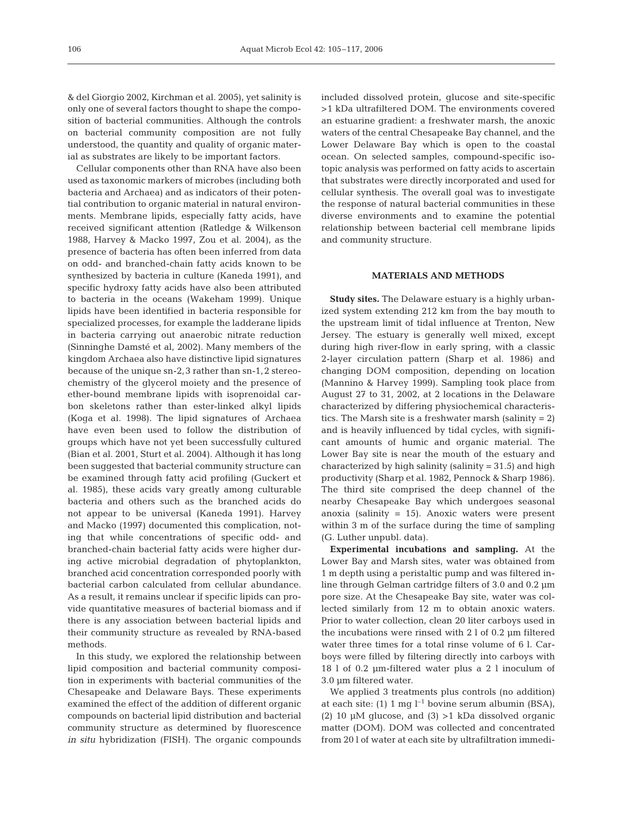& del Giorgio 2002, Kirchman et al. 2005), yet salinity is only one of several factors thought to shape the composition of bacterial communities. Although the controls on bacterial community composition are not fully understood, the quantity and quality of organic material as substrates are likely to be important factors.

Cellular components other than RNA have also been used as taxonomic markers of microbes (including both bacteria and Archaea) and as indicators of their potential contribution to organic material in natural environments. Membrane lipids, especially fatty acids, have received significant attention (Ratledge & Wilkenson 1988, Harvey & Macko 1997, Zou et al. 2004), as the presence of bacteria has often been inferred from data on odd- and branched-chain fatty acids known to be synthesized by bacteria in culture (Kaneda 1991), and specific hydroxy fatty acids have also been attributed to bacteria in the oceans (Wakeham 1999). Unique lipids have been identified in bacteria responsible for specialized processes, for example the ladderane lipids in bacteria carrying out anaerobic nitrate reduction (Sinninghe Damsté et al, 2002). Many members of the kingdom Archaea also have distinctive lipid signatures because of the unique sn-2,3 rather than sn-1,2 stereochemistry of the glycerol moiety and the presence of ether-bound membrane lipids with isoprenoidal carbon skeletons rather than ester-linked alkyl lipids (Koga et al. 1998). The lipid signatures of Archaea have even been used to follow the distribution of groups which have not yet been successfully cultured (Bian et al. 2001, Sturt et al. 2004). Although it has long been suggested that bacterial community structure can be examined through fatty acid profiling (Guckert et al. 1985), these acids vary greatly among culturable bacteria and others such as the branched acids do not appear to be universal (Kaneda 1991). Harvey and Macko (1997) documented this complication, noting that while concentrations of specific odd- and branched-chain bacterial fatty acids were higher during active microbial degradation of phytoplankton, branched acid concentration corresponded poorly with bacterial carbon calculated from cellular abundance. As a result, it remains unclear if specific lipids can provide quantitative measures of bacterial biomass and if there is any association between bacterial lipids and their community structure as revealed by RNA-based methods.

In this study, we explored the relationship between lipid composition and bacterial community composition in experiments with bacterial communities of the Chesapeake and Delaware Bays. These experiments examined the effect of the addition of different organic compounds on bacterial lipid distribution and bacterial community structure as determined by fluorescence *in situ* hybridization (FISH). The organic compounds included dissolved protein, glucose and site-specific >1 kDa ultrafiltered DOM. The environments covered an estuarine gradient: a freshwater marsh, the anoxic waters of the central Chesapeake Bay channel, and the Lower Delaware Bay which is open to the coastal ocean. On selected samples, compound-specific isotopic analysis was performed on fatty acids to ascertain that substrates were directly incorporated and used for cellular synthesis. The overall goal was to investigate the response of natural bacterial communities in these diverse environments and to examine the potential relationship between bacterial cell membrane lipids and community structure.

### **MATERIALS AND METHODS**

**Study sites.** The Delaware estuary is a highly urbanized system extending 212 km from the bay mouth to the upstream limit of tidal influence at Trenton, New Jersey. The estuary is generally well mixed, except during high river-flow in early spring, with a classic 2-layer circulation pattern (Sharp et al. 1986) and changing DOM composition, depending on location (Mannino & Harvey 1999). Sampling took place from August 27 to 31, 2002, at 2 locations in the Delaware characterized by differing physiochemical characteristics. The Marsh site is a freshwater marsh (salinity = 2) and is heavily influenced by tidal cycles, with significant amounts of humic and organic material. The Lower Bay site is near the mouth of the estuary and characterized by high salinity (salinity  $= 31.5$ ) and high productivity (Sharp et al. 1982, Pennock & Sharp 1986). The third site comprised the deep channel of the nearby Chesapeake Bay which undergoes seasonal anoxia (salinity  $= 15$ ). Anoxic waters were present within 3 m of the surface during the time of sampling (G. Luther unpubl. data).

**Experimental incubations and sampling.** At the Lower Bay and Marsh sites, water was obtained from 1 m depth using a peristaltic pump and was filtered inline through Gelman cartridge filters of 3.0 and 0.2 µm pore size. At the Chesapeake Bay site, water was collected similarly from 12 m to obtain anoxic waters. Prior to water collection, clean 20 liter carboys used in the incubations were rinsed with 2 l of 0.2 µm filtered water three times for a total rinse volume of 6 l. Carboys were filled by filtering directly into carboys with 18 l of 0.2 µm-filtered water plus a 2 l inoculum of 3.0 µm filtered water.

We applied 3 treatments plus controls (no addition) at each site: (1) 1 mg  $l^{-1}$  bovine serum albumin (BSA), (2) 10  $\mu$ M glucose, and (3) > 1 kDa dissolved organic matter (DOM). DOM was collected and concentrated from 20 l of water at each site by ultrafiltration immedi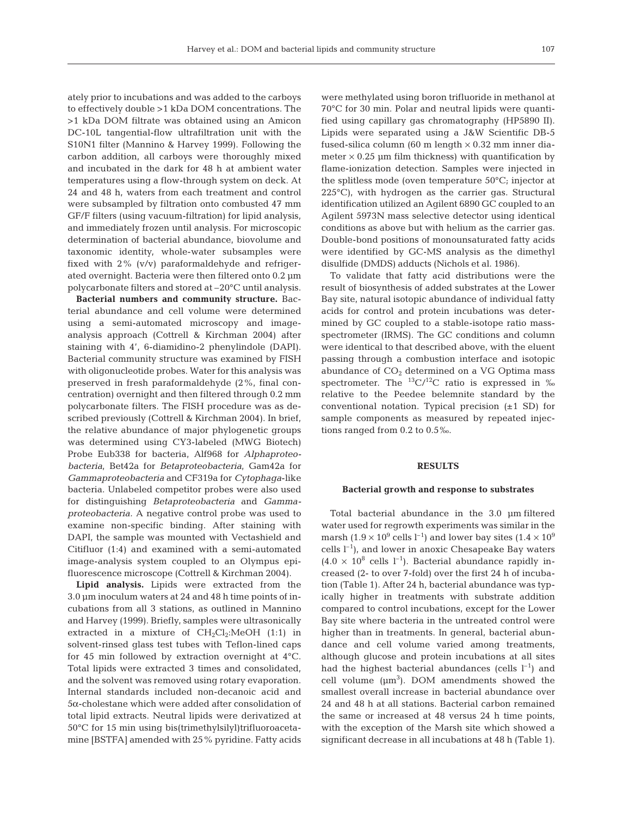ately prior to incubations and was added to the carboys to effectively double >1 kDa DOM concentrations. The >1 kDa DOM filtrate was obtained using an Amicon DC-10L tangential-flow ultrafiltration unit with the S10N1 filter (Mannino & Harvey 1999). Following the carbon addition, all carboys were thoroughly mixed and incubated in the dark for 48 h at ambient water temperatures using a flow-through system on deck. At 24 and 48 h, waters from each treatment and control were subsampled by filtration onto combusted 47 mm GF/F filters (using vacuum-filtration) for lipid analysis, and immediately frozen until analysis. For microscopic determination of bacterial abundance, biovolume and taxonomic identity, whole-water subsamples were fixed with 2% (v/v) paraformaldehyde and refrigerated overnight. Bacteria were then filtered onto 0.2 µm polycarbonate filters and stored at –20°C until analysis.

**Bacterial numbers and community structure.** Bacterial abundance and cell volume were determined using a semi-automated microscopy and imageanalysis approach (Cottrell & Kirchman 2004) after staining with 4', 6-diamidino-2 phenylindole (DAPI). Bacterial community structure was examined by FISH with oligonucleotide probes. Water for this analysis was preserved in fresh paraformaldehyde (2%, final concentration) overnight and then filtered through 0.2 mm polycarbonate filters. The FISH procedure was as described previously (Cottrell & Kirchman 2004). In brief, the relative abundance of major phylogenetic groups was determined using CY3-labeled (MWG Biotech) Probe Eub338 for bacteria, Alf968 for *Alphaproteobacteria*, Bet42a for *Betaproteobacteria*, Gam42a for *Gammaproteobacteria* and CF319a for *Cytophaga*-like bacteria. Unlabeled competitor probes were also used for distinguishing *Betaproteobacteria* and *Gammaproteobacteria.* A negative control probe was used to examine non-specific binding. After staining with DAPI, the sample was mounted with Vectashield and Citifluor (1:4) and examined with a semi-automated image-analysis system coupled to an Olympus epifluorescence microscope (Cottrell & Kirchman 2004).

**Lipid analysis.** Lipids were extracted from the 3.0 µm inoculum waters at 24 and 48 h time points of incubations from all 3 stations, as outlined in Mannino and Harvey (1999). Briefly, samples were ultrasonically extracted in a mixture of  $CH<sub>2</sub>Cl<sub>2</sub>:MeOH$  (1:1) in solvent-rinsed glass test tubes with Teflon-lined caps for 45 min followed by extraction overnight at 4°C. Total lipids were extracted 3 times and consolidated, and the solvent was removed using rotary evaporation. Internal standards included non-decanoic acid and 5α-cholestane which were added after consolidation of total lipid extracts. Neutral lipids were derivatized at 50°C for 15 min using bis(trimethylsilyl)trifluoroacetamine [BSTFA] amended with 25% pyridine. Fatty acids were methylated using boron trifluoride in methanol at 70°C for 30 min. Polar and neutral lipids were quantified using capillary gas chromatography (HP5890 II). Lipids were separated using a J&W Scientific DB-5 fused-silica column (60 m length  $\times$  0.32 mm inner diameter  $\times$  0.25 µm film thickness) with quantification by flame-ionization detection. Samples were injected in the splitless mode (oven temperature 50°C; injector at 225°C), with hydrogen as the carrier gas. Structural identification utilized an Agilent 6890 GC coupled to an Agilent 5973N mass selective detector using identical conditions as above but with helium as the carrier gas. Double-bond positions of monounsaturated fatty acids were identified by GC-MS analysis as the dimethyl disulfide (DMDS) adducts (Nichols et al. 1986).

To validate that fatty acid distributions were the result of biosynthesis of added substrates at the Lower Bay site, natural isotopic abundance of individual fatty acids for control and protein incubations was determined by GC coupled to a stable-isotope ratio massspectrometer (IRMS). The GC conditions and column were identical to that described above, with the eluent passing through a combustion interface and isotopic abundance of  $CO<sub>2</sub>$  determined on a VG Optima mass spectrometer. The  ${}^{13}C/{}^{12}C$  ratio is expressed in ‰ relative to the Peedee belemnite standard by the conventional notation. Typical precision  $(\pm 1$  SD) for sample components as measured by repeated injections ranged from 0.2 to 0.5‰.

#### **RESULTS**

#### **Bacterial growth and response to substrates**

Total bacterial abundance in the 3.0 µm filtered water used for regrowth experiments was similar in the marsh (1.9  $\times$  10<sup>9</sup> cells l<sup>-1</sup>) and lower bay sites (1.4  $\times$  10<sup>9</sup> cells  $l^{-1}$ ), and lower in anoxic Chesapeake Bay waters  $(4.0 \times 10^8 \text{ cells } l^{-1})$ . Bacterial abundance rapidly increased (2- to over 7-fold) over the first 24 h of incubation (Table 1). After 24 h, bacterial abundance was typically higher in treatments with substrate addition compared to control incubations, except for the Lower Bay site where bacteria in the untreated control were higher than in treatments. In general, bacterial abundance and cell volume varied among treatments, although glucose and protein incubations at all sites had the highest bacterial abundances (cells  $l^{-1}$ ) and cell volume  $(\mu m^3)$ . DOM amendments showed the smallest overall increase in bacterial abundance over 24 and 48 h at all stations. Bacterial carbon remained the same or increased at 48 versus 24 h time points, with the exception of the Marsh site which showed a significant decrease in all incubations at 48 h (Table 1).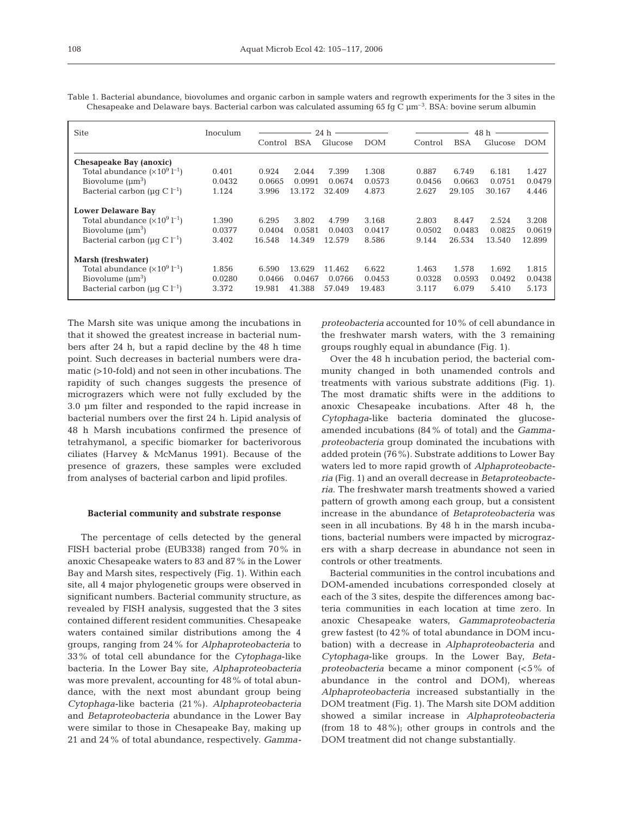| <b>Site</b>                                      | Inoculum | $24 h \longrightarrow$ |            |         | 48 h       |         |            |         |            |
|--------------------------------------------------|----------|------------------------|------------|---------|------------|---------|------------|---------|------------|
|                                                  |          | Control                | <b>BSA</b> | Glucose | <b>DOM</b> | Control | <b>BSA</b> | Glucose | <b>DOM</b> |
| Chesapeake Bay (anoxic)                          |          |                        |            |         |            |         |            |         |            |
| Total abundance $(\times 10^9$ $I^{-1})$         | 0.401    | 0.924                  | 2.044      | 7.399   | 1.308      | 0.887   | 6.749      | 6.181   | 1.427      |
| Biovolume $(\mu m^3)$                            | 0.0432   | 0.0665                 | 0.0991     | 0.0674  | 0.0573     | 0.0456  | 0.0663     | 0.0751  | 0.0479     |
| Bacterial carbon ( $\mu$ g C l <sup>-1</sup> )   | 1.124    | 3.996                  | 13.172     | 32.409  | 4.873      | 2.627   | 29.105     | 30.167  | 4.446      |
| <b>Lower Delaware Bay</b>                        |          |                        |            |         |            |         |            |         |            |
| Total abundance $(\times 10^9$ l <sup>-1</sup> ) | 1.390    | 6.295                  | 3.802      | 4.799   | 3.168      | 2.803   | 8.447      | 2.524   | 3.208      |
| Biovolume $(\mu m^3)$                            | 0.0377   | 0.0404                 | 0.0581     | 0.0403  | 0.0417     | 0.0502  | 0.0483     | 0.0825  | 0.0619     |
| Bacterial carbon ( $\mu$ g C l <sup>-1</sup> )   | 3.402    | 16.548                 | 14.349     | 12.579  | 8.586      | 9.144   | 26.534     | 13.540  | 12.899     |
| Marsh (freshwater)                               |          |                        |            |         |            |         |            |         |            |
| Total abundance $(\times 10^9$ l <sup>-1</sup> ) | 1.856    | 6.590                  | 13.629     | 11.462  | 6.622      | 1.463   | 1.578      | 1.692   | 1.815      |
| Biovolume $(\mu m^3)$                            | 0.0280   | 0.0466                 | 0.0467     | 0.0766  | 0.0453     | 0.0328  | 0.0593     | 0.0492  | 0.0438     |
| Bacterial carbon ( $\mu$ g C l <sup>-1</sup> )   | 3.372    | 19.981                 | 41.388     | 57.049  | 19.483     | 3.117   | 6.079      | 5.410   | 5.173      |

Table 1. Bacterial abundance, biovolumes and organic carbon in sample waters and regrowth experiments for the 3 sites in the Chesapeake and Delaware bays. Bacterial carbon was calculated assuming 65 fg C  $\mu$ m<sup>-3</sup>. BSA: bovine serum albumin

The Marsh site was unique among the incubations in that it showed the greatest increase in bacterial numbers after 24 h, but a rapid decline by the 48 h time point. Such decreases in bacterial numbers were dramatic (>10-fold) and not seen in other incubations. The rapidity of such changes suggests the presence of micrograzers which were not fully excluded by the 3.0 µm filter and responded to the rapid increase in bacterial numbers over the first 24 h. Lipid analysis of 48 h Marsh incubations confirmed the presence of tetrahymanol, a specific biomarker for bacterivorous ciliates (Harvey & McManus 1991). Because of the presence of grazers, these samples were excluded from analyses of bacterial carbon and lipid profiles.

#### **Bacterial community and substrate response**

The percentage of cells detected by the general FISH bacterial probe (EUB338) ranged from 70% in anoxic Chesapeake waters to 83 and 87% in the Lower Bay and Marsh sites, respectively (Fig. 1). Within each site, all 4 major phylogenetic groups were observed in significant numbers. Bacterial community structure, as revealed by FISH analysis, suggested that the 3 sites contained different resident communities. Chesapeake waters contained similar distributions among the 4 groups, ranging from 24% for *Alphaproteobacteria* to 33% of total cell abundance for the *Cytophaga*-like bacteria. In the Lower Bay site, *Alphaproteobacteria* was more prevalent, accounting for 48% of total abundance, with the next most abundant group being *Cytophaga*-like bacteria (21%). *Alphaproteobacteria* and *Betaproteobacteria* abundance in the Lower Bay were similar to those in Chesapeake Bay, making up 21 and 24% of total abundance, respectively. *Gamma-* *proteobacteria* accounted for 10% of cell abundance in the freshwater marsh waters, with the 3 remaining groups roughly equal in abundance (Fig. 1).

Over the 48 h incubation period, the bacterial community changed in both unamended controls and treatments with various substrate additions (Fig. 1). The most dramatic shifts were in the additions to anoxic Chesapeake incubations. After 48 h, the *Cytophaga*-like bacteria dominated the glucoseamended incubations (84% of total) and the *Gammaproteobacteria* group dominated the incubations with added protein (76%). Substrate additions to Lower Bay waters led to more rapid growth of *Alphaproteobacteria* (Fig. 1) and an overall decrease in *Betaproteobacteria*. The freshwater marsh treatments showed a varied pattern of growth among each group, but a consistent increase in the abundance of *Betaproteobacteria* was seen in all incubations. By 48 h in the marsh incubations, bacterial numbers were impacted by micrograzers with a sharp decrease in abundance not seen in controls or other treatments.

Bacterial communities in the control incubations and DOM-amended incubations corresponded closely at each of the 3 sites, despite the differences among bacteria communities in each location at time zero. In anoxic Chesapeake waters, *Gammaproteobacteria* grew fastest (to 42% of total abundance in DOM incubation) with a decrease in *Alphaproteobacteria* and *Cytophaga*-like groups. In the Lower Bay, *Betaproteobacteria* became a minor component (<5% of abundance in the control and DOM), whereas *Alphaproteobacteria* increased substantially in the DOM treatment (Fig. 1). The Marsh site DOM addition showed a similar increase in *Alphaproteobacteria* (from 18 to 48%); other groups in controls and the DOM treatment did not change substantially.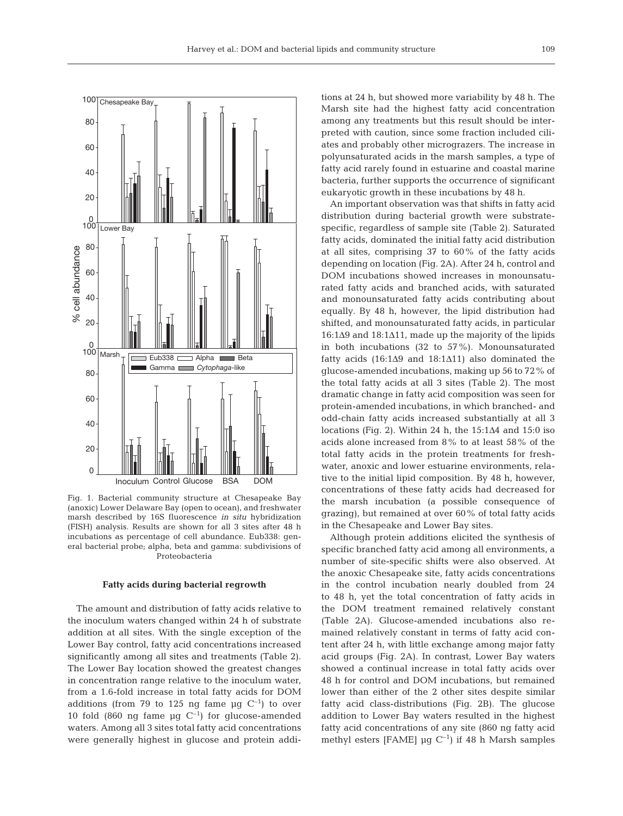

Fig. 1. Bacterial community structure at Chesapeake Bay (anoxic) Lower Delaware Bay (open to ocean), and freshwater marsh described by 16S fluorescence *in situ* hybridization (FISH) analysis. Results are shown for all 3 sites after 48 h incubations as percentage of cell abundance. Eub338: general bacterial probe; alpha, beta and gamma: subdivisions of Proteobacteria

#### **Fatty acids during bacterial regrowth**

The amount and distribution of fatty acids relative to the inoculum waters changed within 24 h of substrate addition at all sites. With the single exception of the Lower Bay control, fatty acid concentrations increased significantly among all sites and treatments (Table 2). The Lower Bay location showed the greatest changes in concentration range relative to the inoculum water, from a 1.6-fold increase in total fatty acids for DOM additions (from 79 to 125 ng fame  $\mu$ g C<sup>-1</sup>) to over 10 fold (860 ng fame  $\mu$ g C<sup>-1</sup>) for glucose-amended waters. Among all 3 sites total fatty acid concentrations were generally highest in glucose and protein additions at 24 h, but showed more variability by 48 h. The Marsh site had the highest fatty acid concentration among any treatments but this result should be interpreted with caution, since some fraction included ciliates and probably other micrograzers. The increase in polyunsaturated acids in the marsh samples, a type of fatty acid rarely found in estuarine and coastal marine bacteria, further supports the occurrence of significant eukaryotic growth in these incubations by 48 h.

An important observation was that shifts in fatty acid distribution during bacterial growth were substratespecific, regardless of sample site (Table 2). Saturated fatty acids, dominated the initial fatty acid distribution at all sites, comprising 37 to 60% of the fatty acids depending on location (Fig. 2A). After 24 h, control and DOM incubations showed increases in monounsaturated fatty acids and branched acids, with saturated and monounsaturated fatty acids contributing about equally. By 48 h, however, the lipid distribution had shifted, and monounsaturated fatty acids, in particular 16:1Δ9 and 18:1Δ11, made up the majority of the lipids in both incubations (32 to 57%). Monounsaturated fatty acids (16:1Δ9 and 18:1Δ11) also dominated the glucose-amended incubations, making up 56 to 72% of the total fatty acids at all 3 sites (Table 2). The most dramatic change in fatty acid composition was seen for protein-amended incubations, in which branched- and odd-chain fatty acids increased substantially at all 3 locations (Fig. 2). Within 24 h, the  $15:1\Delta4$  and  $15:0$  iso acids alone increased from 8% to at least 58% of the total fatty acids in the protein treatments for freshwater, anoxic and lower estuarine environments, relative to the initial lipid composition. By 48 h, however, concentrations of these fatty acids had decreased for the marsh incubation (a possible consequence of grazing), but remained at over 60% of total fatty acids in the Chesapeake and Lower Bay sites.

Although protein additions elicited the synthesis of specific branched fatty acid among all environments, a number of site-specific shifts were also observed. At the anoxic Chesapeake site, fatty acids concentrations in the control incubation nearly doubled from 24 to 48 h, yet the total concentration of fatty acids in the DOM treatment remained relatively constant (Table 2A). Glucose-amended incubations also remained relatively constant in terms of fatty acid content after 24 h, with little exchange among major fatty acid groups (Fig. 2A). In contrast, Lower Bay waters showed a continual increase in total fatty acids over 48 h for control and DOM incubations, but remained lower than either of the 2 other sites despite similar fatty acid class-distributions (Fig. 2B). The glucose addition to Lower Bay waters resulted in the highest fatty acid concentrations of any site (860 ng fatty acid methyl esters [FAME]  $\mu$ g C<sup>-1</sup>) if 48 h Marsh samples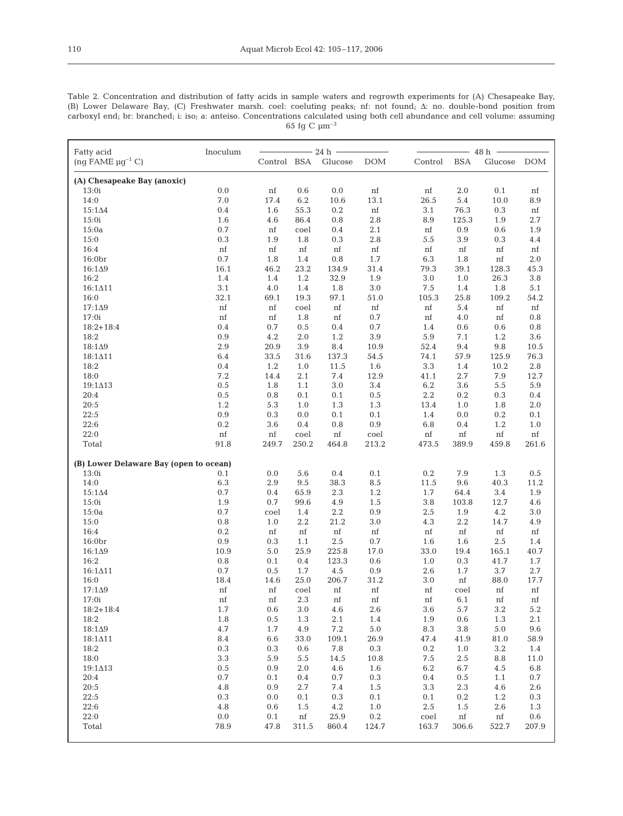Table 2. Concentration and distribution of fatty acids in sample waters and regrowth experiments for (A) Chesapeake Bay,<br>(B) Lower Delaware Bay, (C) Freshwater marsh. coel: coeluting peaks; nf: not found;  $\Delta$ : no. double carboxyl end; br: branched; i: iso; a: anteiso. Concentrations calculated using both cell abundance and cell volume: assuming  $65$  fg C  $\upmu \text{m}^{-3}$ 

| Fatty acid                             | Inoculum      | $- 24 h -$ |                 |                     |             | $-48h -$                              |                   |  |  |
|----------------------------------------|---------------|------------|-----------------|---------------------|-------------|---------------------------------------|-------------------|--|--|
| $(ng FAME \mu g^{-1} C)$               |               |            |                 | Control BSA Glucose | <b>DOM</b>  | <b>BSA</b><br>Control<br>Glucose DOM  |                   |  |  |
|                                        |               |            |                 |                     |             |                                       |                   |  |  |
| (A) Chesapeake Bay (anoxic)            |               |            |                 |                     |             |                                       |                   |  |  |
| 13:0i                                  | $0.0\,$       | nf         | $0.6\,$         | $0.0\,$             | $^{\rm nf}$ | $2.0\,$<br>$0.1\,$<br>nf              | $\mathop{\rm nf}$ |  |  |
| 14:0                                   | $7.0\,$       | 17.4       | 6.2             | 10.6                | 13.1        | 26.5<br>5.4<br>10.0                   | 8.9               |  |  |
| $15:1\Delta4$                          | 0.4           | 1.6        | 55.3            | 0.2                 | nf          | 3.1<br>76.3<br>0.3                    | nf                |  |  |
| 15:0i                                  | 1.6           | 4.6        | 86.4            | 0.8                 | 2.8         | 8.9<br>125.3<br>1.9                   | 2.7               |  |  |
| 15:0a                                  | 0.7           | nf         | coel            | 0.4                 | $2.1\,$     | nf<br>0.9<br>0.6                      | 1.9               |  |  |
| 15:0<br>16:4                           | $0.3\,$<br>nf | 1.9        | 1.8             | $0.3\,$<br>nf       | 2.8         | 5.5<br>3.9<br>0.3<br>nf               | $4.4\,$           |  |  |
| 16:0br                                 | 0.7           | nf<br>1.8  | nf<br>1.4       | 0.8                 | nf<br>1.7   | nf<br>nf<br>6.3<br>1.8<br>$^{\rm nf}$ | nf<br>2.0         |  |  |
| $16:1\Delta9$                          | 16.1          | 46.2       | 23.2            | 134.9               | 31.4        | 39.1<br>79.3<br>128.3                 | 45.3              |  |  |
| 16:2                                   | $1.4\,$       | 1.4        | $1.2\,$         | 32.9                | $1.9\,$     | $3.0\,$<br>26.3<br>1.0                | $3.8\,$           |  |  |
| $16:1 \triangle 11$                    | 3.1           | $4.0\,$    | 1.4             | 1.8                 | $3.0\,$     | 7.5<br>1.4<br>1.8                     | 5.1               |  |  |
| 16:0                                   | 32.1          | 69.1       | 19.3            | 97.1                | 51.0        | 105.3<br>25.8<br>109.2                | 54.2              |  |  |
| $17:1\Delta9$                          | nf            | nf         | coel            | nf                  | nf          | 5.4<br>nf<br>nf                       | nf                |  |  |
| 17:0i                                  | nf            | nf         | 1.8             | nf                  | 0.7         | 4.0<br>nf<br>nf                       | 0.8               |  |  |
| $18:2+18:4$                            | 0.4           | 0.7        | 0.5             | 0.4                 | 0.7         | $1.4\,$<br>0.6<br>0.6                 | $\rm 0.8$         |  |  |
| 18:2                                   | 0.9           | 4.2        | 2.0             | 1.2                 | $3.9\,$     | 5.9<br>7.1<br>1.2                     | 3.6               |  |  |
| $18:1\Delta9$                          | 2.9           | 20.9       | 3.9             | $\ \, 8.4$          | 10.9        | 52.4<br>9.4<br>9.8                    | 10.5              |  |  |
| $18:1\Delta11$                         | 6.4           | 33.5       | 31.6            | 137.3               | 54.5        | 74.1<br>57.9<br>125.9                 | 76.3              |  |  |
| 18:2                                   | 0.4           | 1.2        | 1.0             | 11.5                | 1.6         | $3.3\,$<br>1.4<br>10.2                | $2.8\,$           |  |  |
| 18:0                                   | 7.2           | 14.4       | $2.1\,$         | 7.4                 | 12.9        | 41.1<br>2.7<br>7.9                    | 12.7              |  |  |
| $19:1\Delta13$                         | 0.5           | 1.8        | 1.1             | $3.0\,$             | 3.4         | $6.2\,$<br>3.6<br>5.5                 | 5.9               |  |  |
| 20:4                                   | 0.5           | 0.8        | 0.1             | 0.1                 | $0.5\,$     | 2.2<br>0.2<br>0.3                     | 0.4               |  |  |
| 20:5                                   | $1.2\,$       | 5.3        | 1.0             | 1.3                 | 1.3         | 13.4<br>1.0<br>1.8                    | $2.0\,$           |  |  |
| 22:5                                   | 0.9           | 0.3        | 0.0             | 0.1                 | 0.1         | 1.4<br>0.0<br>0.2                     | 0.1               |  |  |
| 22:6                                   | $0.2\,$       | 3.6        | 0.4             | $0.8\,$             | $0.9\,$     | 6.8<br>1.2<br>0.4                     | $1.0\,$           |  |  |
| 22:0                                   | nf            | nf         | coel            | nf                  | coel        | nf<br>nf<br>nf                        | nf                |  |  |
| Total                                  | 91.8          | 249.7      | 250.2           | 464.8               | 213.2       | 473.5<br>389.9<br>459.8               | 261.6             |  |  |
| (B) Lower Delaware Bay (open to ocean) |               |            |                 |                     |             |                                       |                   |  |  |
| 13:0i                                  | 0.1           | 0.0        | 5.6             | $0.4\,$             | $0.1\,$     | $0.2\,$<br>7.9<br>1.3                 | 0.5               |  |  |
| 14:0                                   | 6.3           | 2.9        | 9.5             | 38.3                | 8.5         | 9.6<br>40.3<br>11.5                   | 11.2              |  |  |
| $15:1\Delta4$                          | 0.7           | 0.4        | 65.9            | 2.3                 | 1.2         | 1.7<br>64.4<br>3.4                    | 1.9               |  |  |
| 15:0i                                  | 1.9           | 0.7        | 99.6            | 4.9                 | 1.5         | 3.8<br>12.7<br>103.8                  | 4.6               |  |  |
| 15:0a                                  | 0.7           | coel       | 1.4             | $2.2\,$             | 0.9         | $2.5\,$<br>1.9<br>4.2                 | $3.0\,$           |  |  |
| 15:0                                   | $0.8\,$       | 1.0        | $2.2\,$         | 21.2                | $3.0\,$     | 4.3<br>2.2<br>14.7                    | 4.9               |  |  |
| 16:4                                   | $0.2\,$       | nf         | nf              | nf                  | $^{\rm nf}$ | nf<br>nf<br>nf                        | nf                |  |  |
| 16:0 <sub>br</sub>                     | 0.9           | 0.3        | 1.1             | 2.5                 | 0.7         | 1.6<br>1.6<br>2.5                     | 1.4               |  |  |
| $16:1\Delta9$                          | 10.9          | 5.0        | 25.9            | 225.8               | 17.0        | 33.0<br>19.4<br>165.1                 | 40.7              |  |  |
| 16:2                                   | 0.8           | 0.1        | 0.4             | 123.3               | 0.6         | 1.0<br>0.3<br>41.7                    | 1.7               |  |  |
| $16:1 \triangle 11$                    | 0.7           | 0.5        | 1.7             | 4.5                 | $0.9\,$     | 2.6<br>1.7<br>3.7                     | 2.7               |  |  |
| 16:0<br>$17:1\Delta9$                  | 18.4<br>nf    | 14.6       | 25.0            | 206.7               | 31.2        | 3.0<br>88.0<br>nf                     | 17.7              |  |  |
| 17:0i                                  | nf            | nf<br>nf   | coel<br>$2.3\,$ | nf<br>nf            | nf<br>nf    | nf<br>nf<br>coel<br>nf<br>6.1<br>nf   | nf<br>nf          |  |  |
| $18:2+18:4$                            | 1.7           | 0.6        | $3.0\,$         | 4.6                 | $2.6\,$     | 3.6<br>5.7<br>3.2                     | 5.2               |  |  |
| 18:2                                   | 1.8           | 0.5        | 1.3             | 2.1                 | 1.4         | 1.9<br>1.3<br>0.6                     | 2.1               |  |  |
| $18:1\Delta9$                          | 4.7           | 1.7        | 4.9             | $7.2\,$             | 5.0         | 8.3<br>3.8<br>5.0                     | 9.6               |  |  |
| $18:1\Delta11$                         | $\rm 8.4$     | 6.6        | 33.0            | 109.1               | 26.9        | 47.4<br>41.9<br>81.0                  | 58.9              |  |  |
| 18:2                                   | $0.3\,$       | 0.3        | 0.6             | 7.8                 | $0.3\,$     | $0.2\,$<br>1.0<br>3.2                 | 1.4               |  |  |
| 18:0                                   | $3.3\,$       | 5.9        | 5.5             | 14.5                | 10.8        | 7.5<br>2.5<br>8.8                     | 11.0              |  |  |
| $19:1\Delta13$                         | $0.5\,$       | 0.9        | 2.0             | 4.6                 | 1.6         | 6.2<br>6.7<br>4.5                     | 6.8               |  |  |
| 20:4                                   | 0.7           | 0.1        | 0.4             | 0.7                 | $0.3\,$     | $0.4\,$<br>0.5<br>1.1                 | 0.7               |  |  |
| 20:5                                   | 4.8           | 0.9        | 2.7             | 7.4                 | 1.5         | 3.3<br>$2.3\,$<br>4.6                 | 2.6               |  |  |
| 22:5                                   | $\rm 0.3$     | 0.0        | 0.1             | $0.3\,$             | $0.1\,$     | 0.1<br>1.2<br>0.2                     | $0.3\,$           |  |  |
| 22:6                                   | 4.8           | 0.6        | 1.5             | 4.2                 | 1.0         | 2.5<br>2.6<br>1.5                     | 1.3               |  |  |
| 22:0                                   | $0.0\,$       | 0.1        | nf              | 25.9                | $0.2\,$     | coel<br>nf<br>nf                      | $0.6\,$           |  |  |
| Total                                  | 78.9          | 47.8       | 311.5           | 860.4               | 124.7       | 163.7<br>306.6<br>522.7               | 207.9             |  |  |
|                                        |               |            |                 |                     |             |                                       |                   |  |  |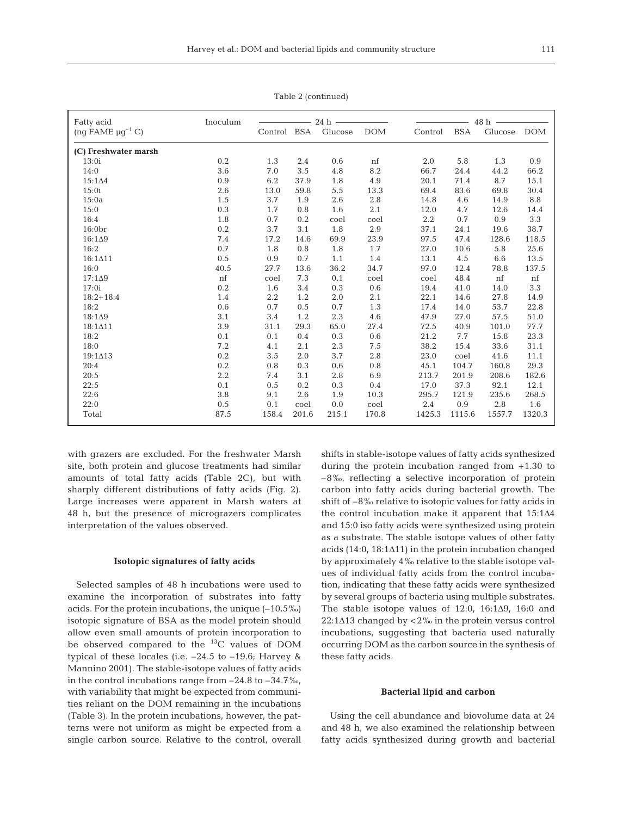| Fatty acid                        | Inoculum    | 24h         |       |         |            |                  | 48 h       |         |            |  |
|-----------------------------------|-------------|-------------|-------|---------|------------|------------------|------------|---------|------------|--|
| (ng FAME $\mu$ g <sup>-1</sup> C) |             | Control BSA |       | Glucose | <b>DOM</b> | Control          | <b>BSA</b> | Glucose | <b>DOM</b> |  |
| (C) Freshwater marsh              |             |             |       |         |            |                  |            |         |            |  |
| 13:0i                             | $0.2\,$     | 1.3         | 2.4   | 0.6     | nf         | 2.0              | 5.8        | 1.3     | 0.9        |  |
| 14:0                              | 3.6         | 7.0         | 3.5   | 4.8     | 8.2        | 66.7             | 24.4       | 44.2    | 66.2       |  |
| $15:1\Delta4$                     | 0.9         | 6.2         | 37.9  | 1.8     | 4.9        | 20.1             | 71.4       | 8.7     | 15.1       |  |
| 15:0i                             | $2.6\,$     | 13.0        | 59.8  | 5.5     | 13.3       | 69.4             | 83.6       | 69.8    | 30.4       |  |
| 15:0a                             | $1.5\,$     | 3.7         | 1.9   | 2.6     | 2.8        | 14.8             | 4.6        | 14.9    | 8.8        |  |
| 15:0                              | 0.3         | 1.7         | 0.8   | 1.6     | 2.1        | 12.0             | 4.7        | 12.6    | 14.4       |  |
| 16:4                              | 1.8         | 0.7         | 0.2   | coel    | coel       | $2.2\phantom{0}$ | 0.7        | 0.9     | 3.3        |  |
| 16:0br                            | $0.2\,$     | 3.7         | 3.1   | 1.8     | 2.9        | 37.1             | 24.1       | 19.6    | 38.7       |  |
| $16:1\Delta9$                     | 7.4         | 17.2        | 14.6  | 69.9    | 23.9       | 97.5             | 47.4       | 128.6   | 118.5      |  |
| 16:2                              | 0.7         | 1.8         | 0.8   | 1.8     | 1.7        | 27.0             | 10.6       | 5.8     | 25.6       |  |
| $16:1 \triangle 11$               | 0.5         | 0.9         | 0.7   | 1.1     | 1.4        | 13.1             | 4.5        | 6.6     | 13.5       |  |
| 16:0                              | 40.5        | 27.7        | 13.6  | 36.2    | 34.7       | 97.0             | 12.4       | 78.8    | 137.5      |  |
| $17:1\Delta9$                     | $^{\rm nf}$ | coel        | 7.3   | 0.1     | coel       | coel             | 48.4       | nf      | nf         |  |
| 17:0i                             | 0.2         | 1.6         | 3.4   | 0.3     | 0.6        | 19.4             | 41.0       | 14.0    | 3.3        |  |
| $18:2+18:4$                       | 1.4         | 2.2         | 1.2   | 2.0     | 2.1        | 22.1             | 14.6       | 27.8    | 14.9       |  |
| 18:2                              | $0.6\,$     | 0.7         | 0.5   | 0.7     | 1.3        | 17.4             | 14.0       | 53.7    | 22.8       |  |
| $18:1\Delta9$                     | 3.1         | 3.4         | 1.2   | 2.3     | 4.6        | 47.9             | 27.0       | 57.5    | 51.0       |  |
| 18:1411                           | 3.9         | 31.1        | 29.3  | 65.0    | 27.4       | 72.5             | 40.9       | 101.0   | 77.7       |  |
| 18:2                              | 0.1         | 0.1         | 0.4   | 0.3     | $0.6\,$    | 21.2             | 7.7        | 15.8    | 23.3       |  |
| 18:0                              | 7.2         | 4.1         | 2.1   | 2.3     | 7.5        | 38.2             | 15.4       | 33.6    | 31.1       |  |
| 19:1413                           | 0.2         | 3.5         | 2.0   | 3.7     | 2.8        | 23.0             | coel       | 41.6    | 11.1       |  |
| 20:4                              | $0.2\,$     | 0.8         | 0.3   | 0.6     | 0.8        | 45.1             | 104.7      | 160.8   | 29.3       |  |
| 20:5                              | $2.2\,$     | 7.4         | 3.1   | 2.8     | 6.9        | 213.7            | 201.9      | 208.6   | 182.6      |  |
| 22:5                              | 0.1         | 0.5         | 0.2   | 0.3     | 0.4        | 17.0             | 37.3       | 92.1    | 12.1       |  |
| 22:6                              | 3.8         | 9.1         | 2.6   | 1.9     | 10.3       | 295.7            | 121.9      | 235.6   | 268.5      |  |
| 22:0                              | 0.5         | 0.1         | coel  | 0.0     | coel       | 2.4              | 0.9        | 2.8     | 1.6        |  |
| Total                             | 87.5        | 158.4       | 201.6 | 215.1   | 170.8      | 1425.3           | 1115.6     | 1557.7  | 1320.3     |  |

Table 2 (continued)

with grazers are excluded. For the freshwater Marsh site, both protein and glucose treatments had similar amounts of total fatty acids (Table 2C), but with sharply different distributions of fatty acids (Fig. 2). Large increases were apparent in Marsh waters at 48 h, but the presence of micrograzers complicates interpretation of the values observed.

#### **Isotopic signatures of fatty acids**

Selected samples of 48 h incubations were used to examine the incorporation of substrates into fatty acids. For the protein incubations, the unique (–10.5‰) isotopic signature of BSA as the model protein should allow even small amounts of protein incorporation to be observed compared to the 13C values of DOM typical of these locales (i.e. –24.5 to –19.6; Harvey & Mannino 2001). The stable-isotope values of fatty acids in the control incubations range from  $-24.8$  to  $-34.7$  ‰, with variability that might be expected from communities reliant on the DOM remaining in the incubations (Table 3). In the protein incubations, however, the patterns were not uniform as might be expected from a single carbon source. Relative to the control, overall

shifts in stable-isotope values of fatty acids synthesized during the protein incubation ranged from +1.30 to –8‰, reflecting a selective incorporation of protein carbon into fatty acids during bacterial growth. The shift of –8‰ relative to isotopic values for fatty acids in the control incubation make it apparent that 15:1Δ4 and 15:0 iso fatty acids were synthesized using protein as a substrate. The stable isotope values of other fatty acids (14:0, 18:1Δ11) in the protein incubation changed by approximately 4‰ relative to the stable isotope values of individual fatty acids from the control incubation, indicating that these fatty acids were synthesized by several groups of bacteria using multiple substrates. The stable isotope values of  $12:0$ ,  $16:1\Delta9$ ,  $16:0$  and  $22:1\Delta13$  changed by  $\lt 2\%$  in the protein versus control incubations, suggesting that bacteria used naturally occurring DOM as the carbon source in the synthesis of these fatty acids.

#### **Bacterial lipid and carbon**

Using the cell abundance and biovolume data at 24 and 48 h, we also examined the relationship between fatty acids synthesized during growth and bacterial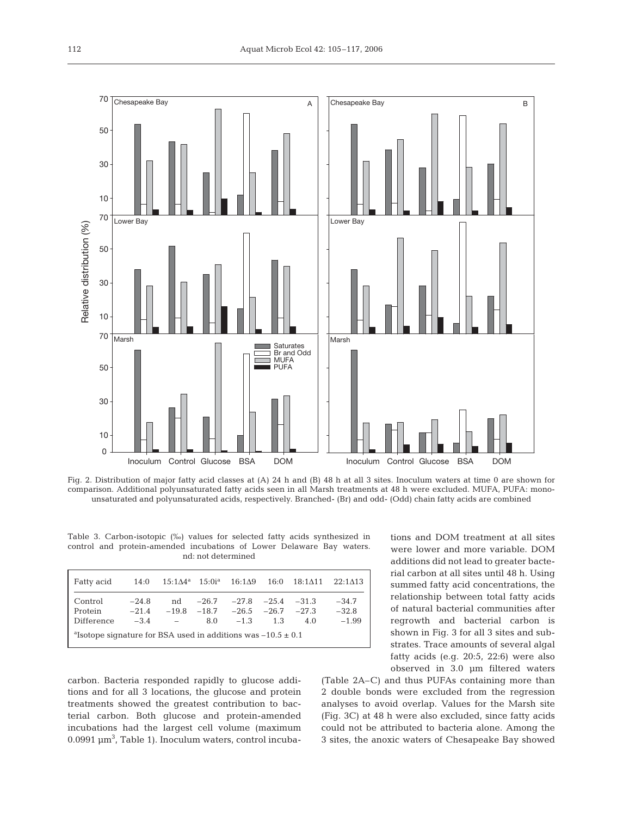

Fig. 2. Distribution of major fatty acid classes at (A) 24 h and (B) 48 h at all 3 sites. Inoculum waters at time 0 are shown for comparison. Additional polyunsaturated fatty acids seen in all Marsh treatments at 48 h were excluded. MUFA, PUFA: monounsaturated and polyunsaturated acids, respectively. Branched- (Br) and odd- (Odd) chain fatty acids are combined

Table 3. Carbon-isotopic (‰) values for selected fatty acids synthesized in control and protein-amended incubations of Lower Delaware Bay waters. nd: not determined

| Fatty acid                                                                   |                              | 14:0 $15:1\Delta4^a$ $15:0i^a$ $16:1\Delta9$ |                |                                                                              |     | $16:0$ $18:1 \triangle 11$ | 22:1413                       |  |  |
|------------------------------------------------------------------------------|------------------------------|----------------------------------------------|----------------|------------------------------------------------------------------------------|-----|----------------------------|-------------------------------|--|--|
| Control<br>Protein<br>Difference                                             | $-24.8$<br>$-21.4$<br>$-3.4$ | nd<br>$\overline{\phantom{a}}$               | $-26.7$<br>8.0 | $-27.8$ $-25.4$ $-31.3$<br>$-19.8$ $-18.7$ $-26.5$ $-26.7$ $-27.3$<br>$-1.3$ | 1.3 | 4.0                        | $-34.7$<br>$-32.8$<br>$-1.99$ |  |  |
| <sup>a</sup> Isotope signature for BSA used in additions was $-10.5 \pm 0.1$ |                              |                                              |                |                                                                              |     |                            |                               |  |  |

carbon. Bacteria responded rapidly to glucose additions and for all 3 locations, the glucose and protein treatments showed the greatest contribution to bacterial carbon. Both glucose and protein-amended incubations had the largest cell volume (maximum  $0.0991 \mu m^3$ , Table 1). Inoculum waters, control incubations and DOM treatment at all sites were lower and more variable. DOM additions did not lead to greater bacterial carbon at all sites until 48 h. Using summed fatty acid concentrations, the relationship between total fatty acids of natural bacterial communities after regrowth and bacterial carbon is shown in Fig. 3 for all 3 sites and substrates. Trace amounts of several algal fatty acids (e.g. 20:5, 22:6) were also observed in 3.0 µm filtered waters

(Table 2A–C) and thus PUFAs containing more than 2 double bonds were excluded from the regression analyses to avoid overlap. Values for the Marsh site (Fig. 3C) at 48 h were also excluded, since fatty acids could not be attributed to bacteria alone. Among the 3 sites, the anoxic waters of Chesapeake Bay showed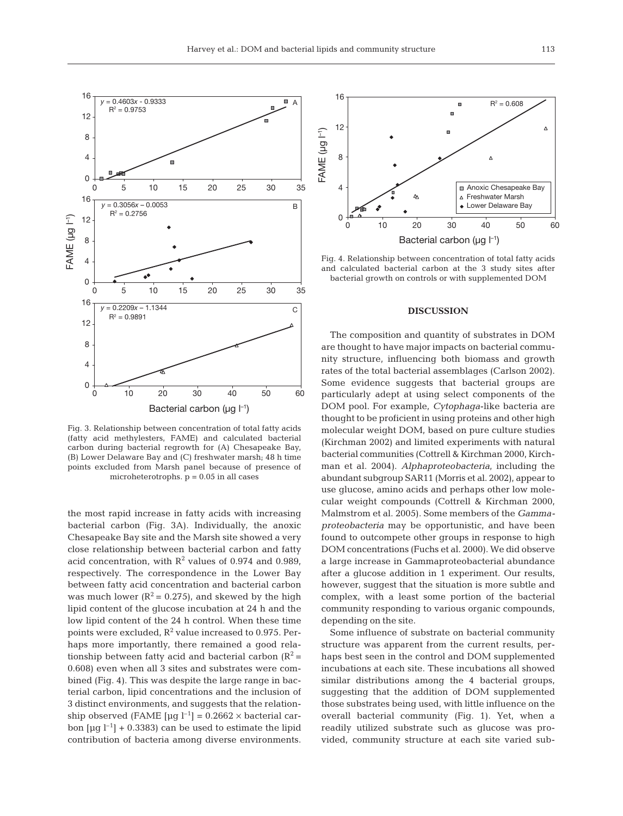

Fig. 3. Relationship between concentration of total fatty acids (fatty acid methylesters, FAME) and calculated bacterial carbon during bacterial regrowth for (A) Chesapeake Bay, (B) Lower Delaware Bay and (C) freshwater marsh; 48 h time points excluded from Marsh panel because of presence of microheterotrophs.  $p = 0.05$  in all cases

the most rapid increase in fatty acids with increasing bacterial carbon (Fig. 3A). Individually, the anoxic Chesapeake Bay site and the Marsh site showed a very close relationship between bacterial carbon and fatty acid concentration, with  $R^2$  values of 0.974 and 0.989, respectively. The correspondence in the Lower Bay between fatty acid concentration and bacterial carbon was much lower ( $R^2$  = 0.275), and skewed by the high lipid content of the glucose incubation at 24 h and the low lipid content of the 24 h control. When these time points were excluded,  $R^2$  value increased to 0.975. Perhaps more importantly, there remained a good relationship between fatty acid and bacterial carbon  $(R^2 =$ 0.608) even when all 3 sites and substrates were combined (Fig. 4). This was despite the large range in bacterial carbon, lipid concentrations and the inclusion of 3 distinct environments, and suggests that the relationship observed (FAME  $\lceil \mu g \rceil^{-1} \rceil = 0.2662 \times \text{bacterial car}$ bon  $\lceil \mu q \rceil^{-1} \rceil$  + 0.3383) can be used to estimate the lipid contribution of bacteria among diverse environments.



Fig. 4. Relationship between concentration of total fatty acids and calculated bacterial carbon at the 3 study sites after bacterial growth on controls or with supplemented DOM

#### **DISCUSSION**

The composition and quantity of substrates in DOM are thought to have major impacts on bacterial community structure, influencing both biomass and growth rates of the total bacterial assemblages (Carlson 2002). Some evidence suggests that bacterial groups are particularly adept at using select components of the DOM pool. For example, *Cytophaga*-like bacteria are thought to be proficient in using proteins and other high molecular weight DOM, based on pure culture studies (Kirchman 2002) and limited experiments with natural bacterial communities (Cottrell & Kirchman 2000, Kirchman et al. 2004). *Alphaproteobacteria*, including the abundant subgroup SAR11 (Morris et al. 2002), appear to use glucose, amino acids and perhaps other low molecular weight compounds (Cottrell & Kirchman 2000, Malmstrom et al. 2005). Some members of the *Gammaproteobacteria* may be opportunistic, and have been found to outcompete other groups in response to high DOM concentrations (Fuchs et al. 2000). We did observe a large increase in Gammaproteobacterial abundance after a glucose addition in 1 experiment. Our results, however, suggest that the situation is more subtle and complex, with a least some portion of the bacterial community responding to various organic compounds, depending on the site.

Some influence of substrate on bacterial community structure was apparent from the current results, perhaps best seen in the control and DOM supplemented incubations at each site. These incubations all showed similar distributions among the 4 bacterial groups, suggesting that the addition of DOM supplemented those substrates being used, with little influence on the overall bacterial community (Fig. 1). Yet, when a readily utilized substrate such as glucose was provided, community structure at each site varied sub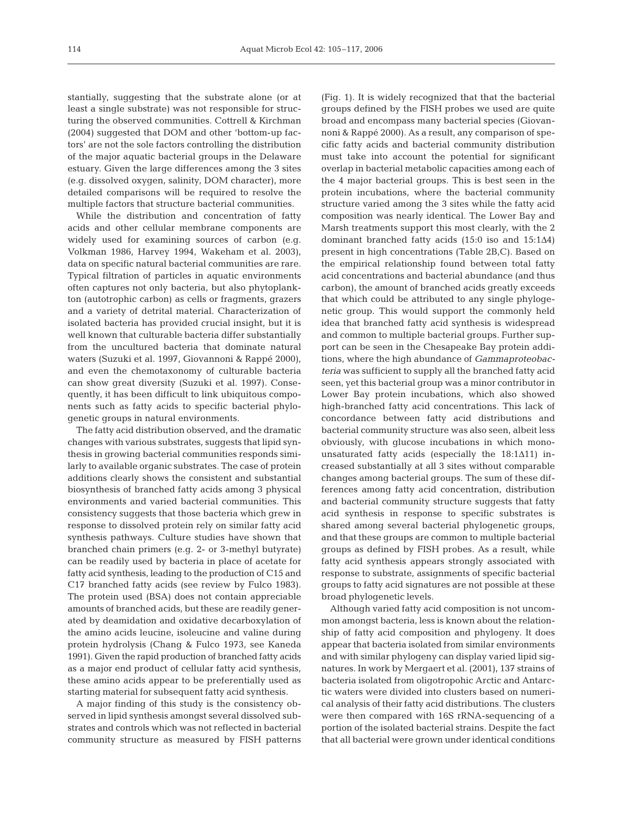stantially, suggesting that the substrate alone (or at least a single substrate) was not responsible for structuring the observed communities. Cottrell & Kirchman (2004) suggested that DOM and other 'bottom-up factors' are not the sole factors controlling the distribution of the major aquatic bacterial groups in the Delaware estuary. Given the large differences among the 3 sites (e.g. dissolved oxygen, salinity, DOM character), more detailed comparisons will be required to resolve the multiple factors that structure bacterial communities.

While the distribution and concentration of fatty acids and other cellular membrane components are widely used for examining sources of carbon (e.g. Volkman 1986, Harvey 1994, Wakeham et al. 2003), data on specific natural bacterial communities are rare. Typical filtration of particles in aquatic environments often captures not only bacteria, but also phytoplankton (autotrophic carbon) as cells or fragments, grazers and a variety of detrital material. Characterization of isolated bacteria has provided crucial insight, but it is well known that culturable bacteria differ substantially from the uncultured bacteria that dominate natural waters (Suzuki et al. 1997, Giovannoni & Rappé 2000), and even the chemotaxonomy of culturable bacteria can show great diversity (Suzuki et al. 1997). Consequently, it has been difficult to link ubiquitous components such as fatty acids to specific bacterial phylogenetic groups in natural environments.

The fatty acid distribution observed, and the dramatic changes with various substrates, suggests that lipid synthesis in growing bacterial communities responds similarly to available organic substrates. The case of protein additions clearly shows the consistent and substantial biosynthesis of branched fatty acids among 3 physical environments and varied bacterial communities. This consistency suggests that those bacteria which grew in response to dissolved protein rely on similar fatty acid synthesis pathways. Culture studies have shown that branched chain primers (e.g. 2- or 3-methyl butyrate) can be readily used by bacteria in place of acetate for fatty acid synthesis, leading to the production of C15 and C17 branched fatty acids (see review by Fulco 1983). The protein used (BSA) does not contain appreciable amounts of branched acids, but these are readily generated by deamidation and oxidative decarboxylation of the amino acids leucine, isoleucine and valine during protein hydrolysis (Chang & Fulco 1973, see Kaneda 1991). Given the rapid production of branched fatty acids as a major end product of cellular fatty acid synthesis, these amino acids appear to be preferentially used as starting material for subsequent fatty acid synthesis.

A major finding of this study is the consistency observed in lipid synthesis amongst several dissolved substrates and controls which was not reflected in bacterial community structure as measured by FISH patterns

(Fig. 1). It is widely recognized that that the bacterial groups defined by the FISH probes we used are quite broad and encompass many bacterial species (Giovannoni & Rappé 2000). As a result, any comparison of specific fatty acids and bacterial community distribution must take into account the potential for significant overlap in bacterial metabolic capacities among each of the 4 major bacterial groups. This is best seen in the protein incubations, where the bacterial community structure varied among the 3 sites while the fatty acid composition was nearly identical. The Lower Bay and Marsh treatments support this most clearly, with the 2 dominant branched fatty acids (15:0 iso and 15:1Δ4) present in high concentrations (Table 2B,C). Based on the empirical relationship found between total fatty acid concentrations and bacterial abundance (and thus carbon), the amount of branched acids greatly exceeds that which could be attributed to any single phylogenetic group. This would support the commonly held idea that branched fatty acid synthesis is widespread and common to multiple bacterial groups. Further support can be seen in the Chesapeake Bay protein additions, where the high abundance of *Gammaproteobacteria* was sufficient to supply all the branched fatty acid seen, yet this bacterial group was a minor contributor in Lower Bay protein incubations, which also showed high-branched fatty acid concentrations. This lack of concordance between fatty acid distributions and bacterial community structure was also seen, albeit less obviously, with glucose incubations in which monounsaturated fatty acids (especially the 18:1Δ11) increased substantially at all 3 sites without comparable changes among bacterial groups. The sum of these differences among fatty acid concentration, distribution and bacterial community structure suggests that fatty acid synthesis in response to specific substrates is shared among several bacterial phylogenetic groups, and that these groups are common to multiple bacterial groups as defined by FISH probes. As a result, while fatty acid synthesis appears strongly associated with response to substrate, assignments of specific bacterial groups to fatty acid signatures are not possible at these broad phylogenetic levels.

Although varied fatty acid composition is not uncommon amongst bacteria, less is known about the relationship of fatty acid composition and phylogeny. It does appear that bacteria isolated from similar environments and with similar phylogeny can display varied lipid signatures. In work by Mergaert et al. (2001), 137 strains of bacteria isolated from oligotropohic Arctic and Antarctic waters were divided into clusters based on numerical analysis of their fatty acid distributions. The clusters were then compared with 16S rRNA-sequencing of a portion of the isolated bacterial strains. Despite the fact that all bacterial were grown under identical conditions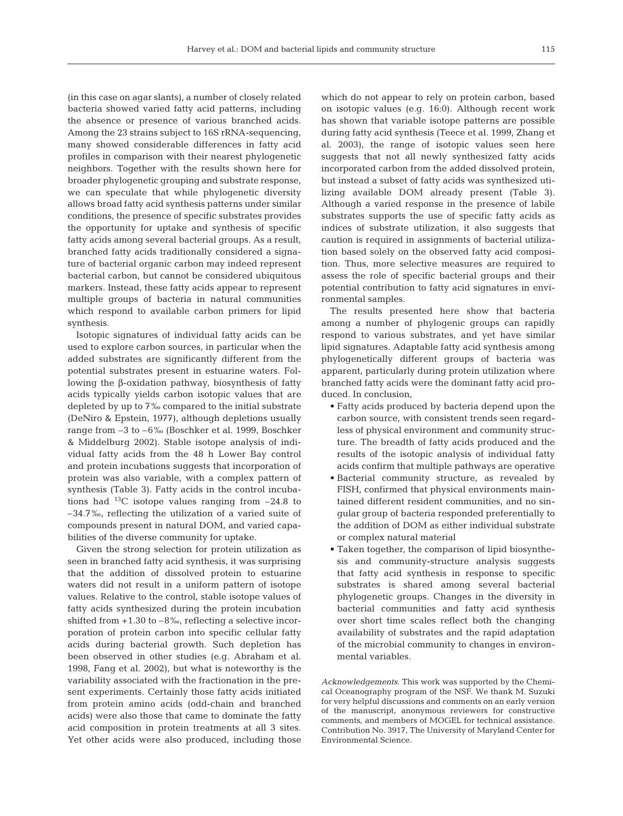(in this case on agar slants), a number of closely related bacteria showed varied fatty acid patterns, including the absence or presence of various branched acids. Among the 23 strains subject to 16S rRNA-sequencing, many showed considerable differences in fatty acid profiles in comparison with their nearest phylogenetic neighbors. Together with the results shown here for broader phylogenetic grouping and substrate response, we can speculate that while phylogenetic diversity allows broad fatty acid synthesis patterns under similar conditions, the presence of specific substrates provides the opportunity for uptake and synthesis of specific fatty acids among several bacterial groups. As a result, branched fatty acids traditionally considered a signature of bacterial organic carbon may indeed represent bacterial carbon, but cannot be considered ubiquitous markers. Instead, these fatty acids appear to represent multiple groups of bacteria in natural communities which respond to available carbon primers for lipid synthesis.

Isotopic signatures of individual fatty acids can be used to explore carbon sources, in particular when the added substrates are significantly different from the potential substrates present in estuarine waters. Following the β-oxidation pathway, biosynthesis of fatty acids typically yields carbon isotopic values that are depleted by up to 7‰ compared to the initial substrate (DeNiro & Epstein, 1977), although depletions usually range from –3 to –6‰ (Boschker et al. 1999, Boschker & Middelburg 2002). Stable isotope analysis of individual fatty acids from the 48 h Lower Bay control and protein incubations suggests that incorporation of protein was also variable, with a complex pattern of synthesis (Table 3). Fatty acids in the control incubations had  $^{13}$ C isotope values ranging from  $-24.8$  to –34.7‰, reflecting the utilization of a varied suite of compounds present in natural DOM, and varied capabilities of the diverse community for uptake.

Given the strong selection for protein utilization as seen in branched fatty acid synthesis, it was surprising that the addition of dissolved protein to estuarine waters did not result in a uniform pattern of isotope values. Relative to the control, stable isotope values of fatty acids synthesized during the protein incubation shifted from  $+1.30$  to  $-8\%$ , reflecting a selective incorporation of protein carbon into specific cellular fatty acids during bacterial growth. Such depletion has been observed in other studies (e.g. Abraham et al. 1998, Fang et al. 2002), but what is noteworthy is the variability associated with the fractionation in the present experiments. Certainly those fatty acids initiated from protein amino acids (odd-chain and branched acids) were also those that came to dominate the fatty acid composition in protein treatments at all 3 sites. Yet other acids were also produced, including those

which do not appear to rely on protein carbon, based on isotopic values (e.g. 16:0). Although recent work has shown that variable isotope patterns are possible during fatty acid synthesis (Teece et al. 1999, Zhang et al. 2003), the range of isotopic values seen here suggests that not all newly synthesized fatty acids incorporated carbon from the added dissolved protein, but instead a subset of fatty acids was synthesized utilizing available DOM already present (Table 3). Although a varied response in the presence of labile substrates supports the use of specific fatty acids as indices of substrate utilization, it also suggests that caution is required in assignments of bacterial utilization based solely on the observed fatty acid composition. Thus, more selective measures are required to assess the role of specific bacterial groups and their potential contribution to fatty acid signatures in environmental samples.

The results presented here show that bacteria among a number of phylogenic groups can rapidly respond to various substrates, and yet have similar lipid signatures. Adaptable fatty acid synthesis among phylogenetically different groups of bacteria was apparent, particularly during protein utilization where branched fatty acids were the dominant fatty acid produced. In conclusion,

- Fatty acids produced by bacteria depend upon the carbon source, with consistent trends seen regardless of physical environment and community structure. The breadth of fatty acids produced and the results of the isotopic analysis of individual fatty acids confirm that multiple pathways are operative
- Bacterial community structure, as revealed by FISH, confirmed that physical environments maintained different resident communities, and no singular group of bacteria responded preferentially to the addition of DOM as either individual substrate or complex natural material
- Taken together, the comparison of lipid biosynthesis and community-structure analysis suggests that fatty acid synthesis in response to specific substrates is shared among several bacterial phylogenetic groups. Changes in the diversity in bacterial communities and fatty acid synthesis over short time scales reflect both the changing availability of substrates and the rapid adaptation of the microbial community to changes in environmental variables.

*Acknowledgements.* This work was supported by the Chemical Oceanography program of the NSF. We thank M. Suzuki for very helpful discussions and comments on an early version of the manuscript, anonymous reviewers for constructive comments, and members of MOGEL for technical assistance. Contribution No. 3917, The University of Maryland Center for Environmental Science.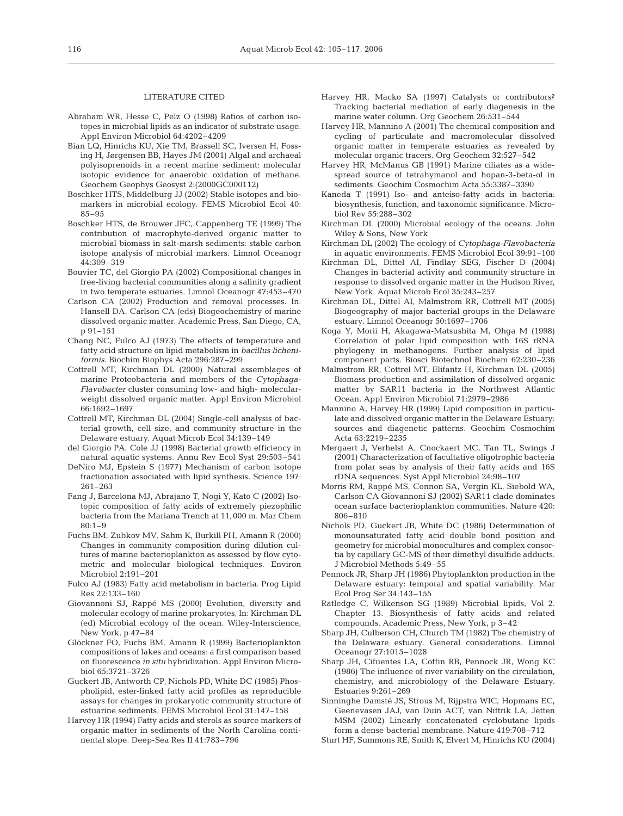#### LITERATURE CITED

- Abraham WR, Hesse C, Pelz O (1998) Ratios of carbon isotopes in microbial lipids as an indicator of substrate usage. Appl Environ Microbiol 64:4202–4209
- Bian LQ, Hinrichs KU, Xie TM, Brassell SC, Iversen H, Fossing H, Jørgensen BB, Hayes JM (2001) Algal and archaeal polyisoprenoids in a recent marine sediment: molecular isotopic evidence for anaerobic oxidation of methane. Geochem Geophys Geosyst 2:(2000GC000112)
- Boschker HTS, Middelburg JJ (2002) Stable isotopes and biomarkers in microbial ecology. FEMS Microbiol Ecol 40: 85–95
- Boschker HTS, de Brouwer JFC, Cappenberg TE (1999) The contribution of macrophyte-derived organic matter to microbial biomass in salt-marsh sediments: stable carbon isotope analysis of microbial markers. Limnol Oceanogr 44:309–319
- Bouvier TC, del Giorgio PA (2002) Compositional changes in free-living bacterial communities along a salinity gradient in two temperate estuaries. Limnol Oceanogr 47:453–470
- Carlson CA (2002) Production and removal processes. In: Hansell DA, Carlson CA (eds) Biogeochemistry of marine dissolved organic matter. Academic Press, San Diego, CA, p 91–151
- Chang NC, Fulco AJ (1973) The effects of temperature and fatty acid structure on lipid metabolism in *bacillus licheniformis*. Biochim Biophys Acta 296:287–299
- Cottrell MT, Kirchman DL (2000) Natural assemblages of marine Proteobacteria and members of the *Cytophaga-Flavobacter* cluster consuming low- and high- molecularweight dissolved organic matter. Appl Environ Microbiol 66:1692–1697
- Cottrell MT, Kirchman DL (2004) Single-cell analysis of bacterial growth, cell size, and community structure in the Delaware estuary. Aquat Microb Ecol 34:139–149
- del Giorgio PA, Cole JJ (1998) Bacterial growth efficiency in natural aquatic systems. Annu Rev Ecol Syst 29:503–541
- DeNiro MJ, Epstein S (1977) Mechanism of carbon isotope fractionation associated with lipid synthesis. Science 197: 261–263
- Fang J, Barcelona MJ, Abrajano T, Nogi Y, Kato C (2002) Isotopic composition of fatty acids of extremely piezophilic bacteria from the Mariana Trench at 11,000 m. Mar Chem 80:1–9
- Fuchs BM, Zubkov MV, Sahm K, Burkill PH, Amann R (2000) Changes in community composition during dilution cultures of marine bacterioplankton as assessed by flow cytometric and molecular biological techniques. Environ Microbiol 2:191–201
- Fulco AJ (1983) Fatty acid metabolism in bacteria. Prog Lipid Res 22:133–160
- Giovannoni SJ, Rappé MS (2000) Evolution, diversity and molecular ecology of marine prokaryotes, In: Kirchman DL (ed) Microbial ecology of the ocean. Wiley-Interscience, New York, p 47–84
- Glöckner FO, Fuchs BM, Amann R (1999) Bacterioplankton compositions of lakes and oceans: a first comparison based on fluorescence *in situ* hybridization. Appl Environ Microbiol 65:3721–3726
- Guckert JB, Antworth CP, Nichols PD, White DC (1985) Phospholipid, ester-linked fatty acid profiles as reproducible assays for changes in prokaryotic community structure of estuarine sediments. FEMS Microbiol Ecol 31:147–158
- Harvey HR (1994) Fatty acids and sterols as source markers of organic matter in sediments of the North Carolina continental slope. Deep-Sea Res II 41:783–796
- Harvey HR, Macko SA (1997) Catalysts or contributors? Tracking bacterial mediation of early diagenesis in the marine water column. Org Geochem 26:531–544
- Harvey HR, Mannino A (2001) The chemical composition and cycling of particulate and macromolecular dissolved organic matter in temperate estuaries as revealed by molecular organic tracers. Org Geochem 32:527–542
- Harvey HR, McManus GB (1991) Marine ciliates as a widespread source of tetrahymanol and hopan-3-beta-ol in sediments. Geochim Cosmochim Acta 55:3387–3390
- Kaneda T (1991) Iso- and anteiso-fatty acids in bacteria: biosynthesis, function, and taxonomic significance. Microbiol Rev 55:288–302
- Kirchman DL (2000) Microbial ecology of the oceans. John Wiley & Sons, New York
- Kirchman DL (2002) The ecology of *Cytophaga-Flavobacteria* in aquatic environments. FEMS Microbiol Ecol 39:91–100
- Kirchman DL, Dittel AI, Findlay SEG, Fischer D (2004) Changes in bacterial activity and community structure in response to dissolved organic matter in the Hudson River, New York. Aquat Microb Ecol 35:243–257
- Kirchman DL, Dittel AI, Malmstrom RR, Cottrell MT (2005) Biogeography of major bacterial groups in the Delaware estuary. Limnol Oceanogr 50:1697–1706
- Koga Y, Morii H, Akagawa-Matsushita M, Ohga M (1998) Correlation of polar lipid composition with 16S rRNA phylogeny in methanogens. Further analysis of lipid component parts. Biosci Biotechnol Biochem 62:230–236
- Malmstrom RR, Cottrel MT, Elifantz H, Kirchman DL (2005) Biomass production and assimilation of dissolved organic matter by SAR11 bacteria in the Northwest Atlantic Ocean. Appl Environ Microbiol 71:2979–2986
- Mannino A, Harvey HR (1999) Lipid composition in particulate and dissolved organic matter in the Delaware Estuary: sources and diagenetic patterns. Geochim Cosmochim Acta 63:2219–2235
- Mergaert J, Verhelst A, Cnockaert MC, Tan TL, Swings J (2001) Characterization of facultative oligotrophic bacteria from polar seas by analysis of their fatty acids and 16S rDNA sequences. Syst Appl Microbiol 24:98–107
- Morris RM, Rappé MS, Connon SA, Vergin KL, Siebold WA, Carlson CA Giovannoni SJ (2002) SAR11 clade dominates ocean surface bacterioplankton communities. Nature 420: 806–810
- Nichols PD, Guckert JB, White DC (1986) Determination of monounsaturated fatty acid double bond position and geometry for microbial monocultures and complex consortia by capillary GC-MS of their dimethyl disulfide adducts. J Microbiol Methods 5:49–55
- Pennock JR, Sharp JH (1986) Phytoplankton production in the Delaware estuary: temporal and spatial variability. Mar Ecol Prog Ser 34:143–155
- Ratledge C, Wilkenson SG (1989) Microbial lipids, Vol 2. Chapter 13. Biosynthesis of fatty acids and related compounds. Academic Press, New York, p 3–42
- Sharp JH, Culberson CH, Church TM (1982) The chemistry of the Delaware estuary. General considerations. Limnol Oceanogr 27:1015–1028
- Sharp JH, Cifuentes LA, Coffin RB, Pennock JR, Wong KC (1986) The influence of river variability on the circulation, chemistry, and microbiology of the Delaware Estuary. Estuaries 9:261–269
- Sinninghe Damsté JS, Strous M, Rijpstra WIC, Hopmans EC, Geenevasen JAJ, van Duin ACT, van Niftrik LA, Jetten MSM (2002) Linearly concatenated cyclobutane lipids form a dense bacterial membrane. Nature 419:708–712
- Sturt HF, Summons RE, Smith K, Elvert M, Hinrichs KU (2004)